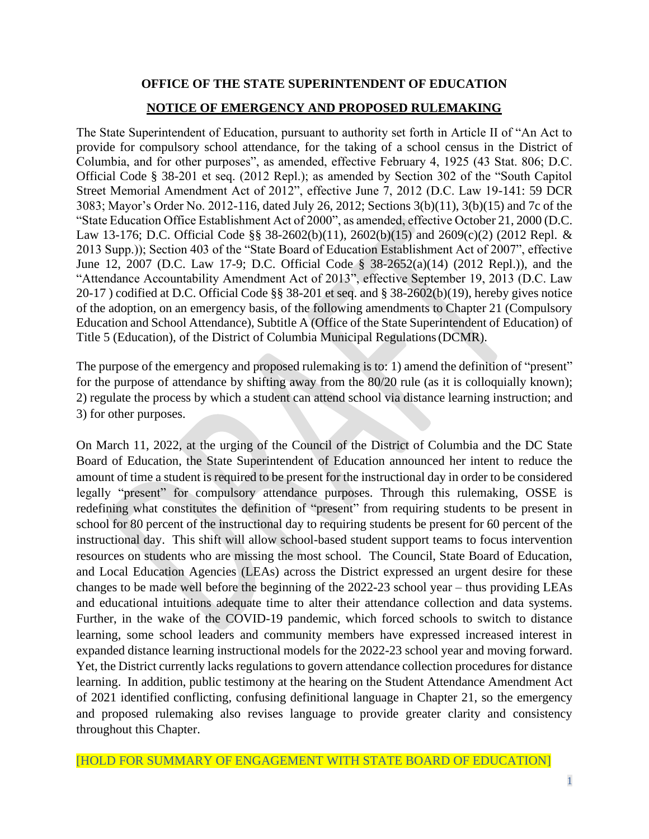# **OFFICE OF THE STATE SUPERINTENDENT OF EDUCATION NOTICE OF EMERGENCY AND PROPOSED RULEMAKING**

The State Superintendent of Education, pursuant to authority set forth in Article II of "An Act to provide for compulsory school attendance, for the taking of a school census in the District of Columbia, and for other purposes", as amended, effective February 4, 1925 (43 Stat. 806; D.C. Official Code § 38-201 et seq. (2012 Repl.); as amended by Section 302 of the "South Capitol Street Memorial Amendment Act of 2012", effective June 7, 2012 (D.C. Law 19-141: 59 DCR 3083; Mayor's Order No. 2012-116, dated July 26, 2012; Sections 3(b)(11), 3(b)(15) and 7c of the "State Education Office Establishment Act of 2000", as amended, effective October 21, 2000 (D.C. Law 13-176; D.C. Official Code §§ 38-2602(b)(11), 2602(b)(15) and 2609(c)(2) (2012 Repl. & 2013 Supp.)); Section 403 of the "State Board of Education Establishment Act of 2007", effective June 12, 2007 (D.C. Law 17-9; D.C. Official Code § 38-2652(a)(14) (2012 Repl.)), and the "Attendance Accountability Amendment Act of 2013", effective September 19, 2013 (D.C. Law 20-17 ) codified at D.C. Official Code §§ 38-201 et seq. and § 38-2602(b)(19), hereby gives notice of the adoption, on an emergency basis, of the following amendments to Chapter 21 (Compulsory Education and School Attendance), Subtitle A (Office of the State Superintendent of Education) of Title 5 (Education), of the District of Columbia Municipal Regulations(DCMR).

The purpose of the emergency and proposed rulemaking is to: 1) amend the definition of "present" for the purpose of attendance by shifting away from the 80/20 rule (as it is colloquially known); 2) regulate the process by which a student can attend school via distance learning instruction; and 3) for other purposes.

On March 11, 2022, at the urging of the Council of the District of Columbia and the DC State Board of Education, the State Superintendent of Education announced her intent to reduce the amount of time a student is required to be present for the instructional day in order to be considered legally "present" for compulsory attendance purposes. Through this rulemaking, OSSE is redefining what constitutes the definition of "present" from requiring students to be present in school for 80 percent of the instructional day to requiring students be present for 60 percent of the instructional day. This shift will allow school-based student support teams to focus intervention resources on students who are missing the most school. The Council, State Board of Education, and Local Education Agencies (LEAs) across the District expressed an urgent desire for these changes to be made well before the beginning of the 2022-23 school year – thus providing LEAs and educational intuitions adequate time to alter their attendance collection and data systems. Further, in the wake of the COVID-19 pandemic, which forced schools to switch to distance learning, some school leaders and community members have expressed increased interest in expanded distance learning instructional models for the 2022-23 school year and moving forward. Yet, the District currently lacks regulations to govern attendance collection procedures for distance learning. In addition, public testimony at the hearing on the Student Attendance Amendment Act of 2021 identified conflicting, confusing definitional language in Chapter 21, so the emergency and proposed rulemaking also revises language to provide greater clarity and consistency throughout this Chapter.

[HOLD FOR SUMMARY OF ENGAGEMENT WITH STATE BOARD OF EDUCATION]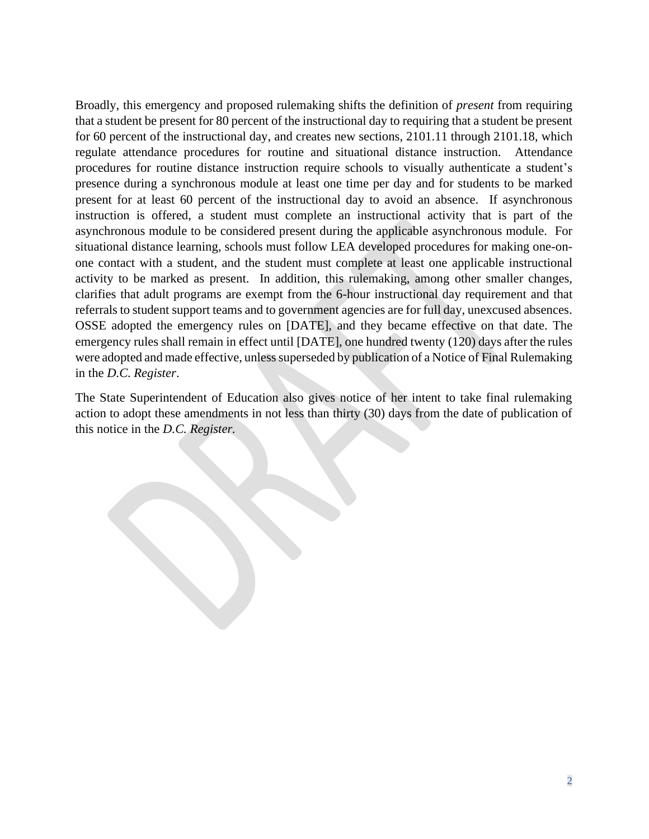Broadly, this emergency and proposed rulemaking shifts the definition of *present* from requiring that a student be present for 80 percent of the instructional day to requiring that a student be present for 60 percent of the instructional day, and creates new sections, 2101.11 through 2101.18, which regulate attendance procedures for routine and situational distance instruction. Attendance procedures for routine distance instruction require schools to visually authenticate a student's presence during a synchronous module at least one time per day and for students to be marked present for at least 60 percent of the instructional day to avoid an absence. If asynchronous instruction is offered, a student must complete an instructional activity that is part of the asynchronous module to be considered present during the applicable asynchronous module. For situational distance learning, schools must follow LEA developed procedures for making one-onone contact with a student, and the student must complete at least one applicable instructional activity to be marked as present. In addition, this rulemaking, among other smaller changes, clarifies that adult programs are exempt from the 6-hour instructional day requirement and that referrals to student support teams and to government agencies are for full day, unexcused absences. OSSE adopted the emergency rules on [DATE], and they became effective on that date. The emergency rules shall remain in effect until [DATE], one hundred twenty (120) days after the rules were adopted and made effective, unless superseded by publication of a Notice of Final Rulemaking in the *D.C. Register*.

The State Superintendent of Education also gives notice of her intent to take final rulemaking action to adopt these amendments in not less than thirty (30) days from the date of publication of this notice in the *D.C. Register.*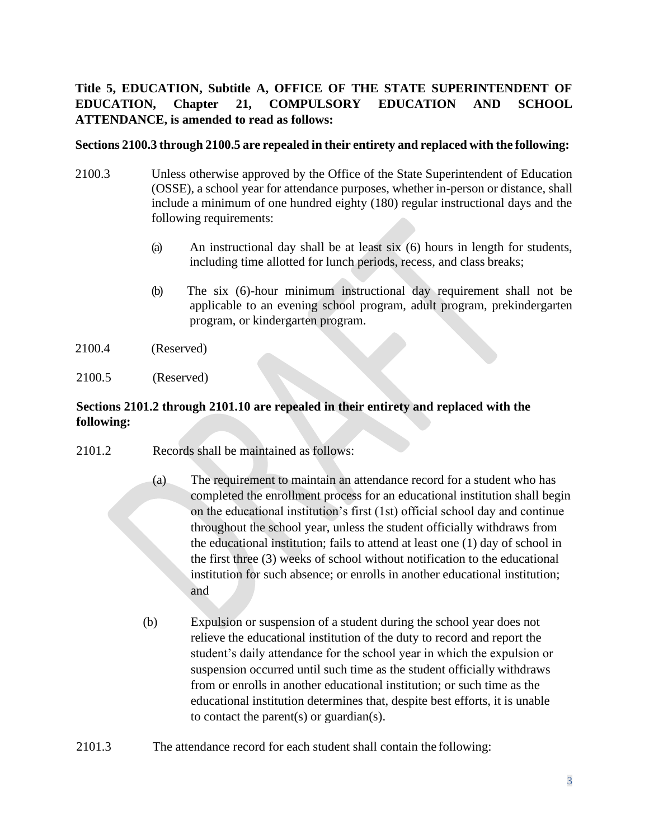# **Title 5, EDUCATION, Subtitle A, OFFICE OF THE STATE SUPERINTENDENT OF EDUCATION, Chapter 21, COMPULSORY EDUCATION AND SCHOOL ATTENDANCE, is amended to read as follows:**

### **Sections 2100.3 through 2100.5 are repealed in their entirety and replaced with the following:**

- 2100.3 Unless otherwise approved by the Office of the State Superintendent of Education (OSSE), a school year for attendance purposes, whether in-person or distance, shall include a minimum of one hundred eighty (180) regular instructional days and the following requirements:
	- (a) An instructional day shall be at least six (6) hours in length for students, including time allotted for lunch periods, recess, and class breaks;
	- (b) The six (6)-hour minimum instructional day requirement shall not be applicable to an evening school program, adult program, prekindergarten program, or kindergarten program.
- 2100.4 (Reserved)
- 2100.5 (Reserved)

### **Sections 2101.2 through 2101.10 are repealed in their entirety and replaced with the following:**

- 2101.2 Records shall be maintained as follows:
	- (a) The requirement to maintain an attendance record for a student who has completed the enrollment process for an educational institution shall begin on the educational institution's first (1st) official school day and continue throughout the school year, unless the student officially withdraws from the educational institution; fails to attend at least one (1) day of school in the first three (3) weeks of school without notification to the educational institution for such absence; or enrolls in another educational institution; and
	- (b) Expulsion or suspension of a student during the school year does not relieve the educational institution of the duty to record and report the student's daily attendance for the school year in which the expulsion or suspension occurred until such time as the student officially withdraws from or enrolls in another educational institution; or such time as the educational institution determines that, despite best efforts, it is unable to contact the parent $(s)$  or guardian $(s)$ .
- 2101.3 The attendance record for each student shall contain the following: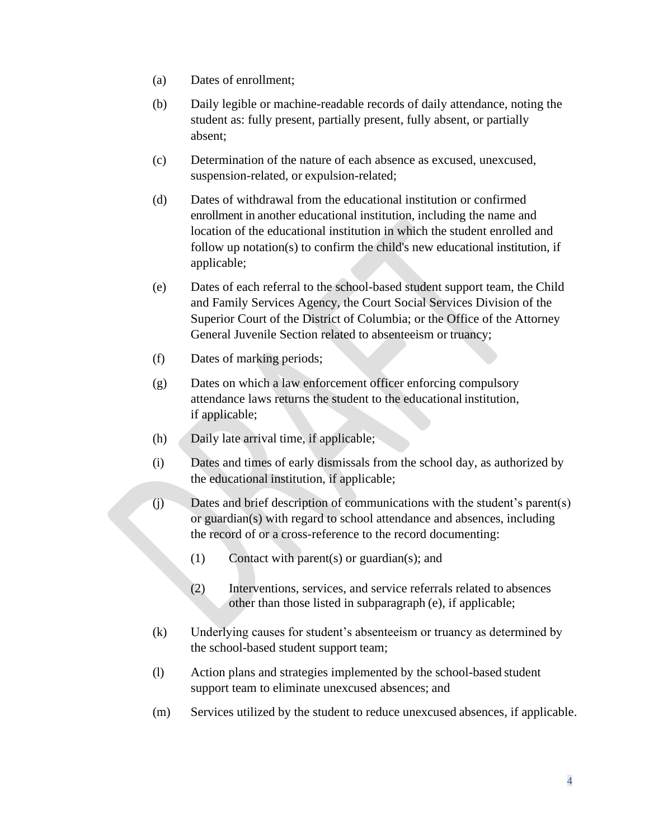- (a) Dates of enrollment;
- (b) Daily legible or machine-readable records of daily attendance, noting the student as: fully present, partially present, fully absent, or partially absent;
- (c) Determination of the nature of each absence as excused, unexcused, suspension-related, or expulsion-related;
- (d) Dates of withdrawal from the educational institution or confirmed enrollment in another educational institution, including the name and location of the educational institution in which the student enrolled and follow up notation(s) to confirm the child's new educational institution, if applicable;
- (e) Dates of each referral to the school-based student support team, the Child and Family Services Agency, the Court Social Services Division of the Superior Court of the District of Columbia; or the Office of the Attorney General Juvenile Section related to absenteeism or truancy;
- (f) Dates of marking periods;
- (g) Dates on which a law enforcement officer enforcing compulsory attendance laws returns the student to the educational institution, if applicable;
- (h) Daily late arrival time, if applicable;
- (i) Dates and times of early dismissals from the school day, as authorized by the educational institution, if applicable;
- (j) Dates and brief description of communications with the student's parent(s) or guardian(s) with regard to school attendance and absences, including the record of or a cross-reference to the record documenting:
	- (1) Contact with parent(s) or guardian(s); and
	- (2) Interventions, services, and service referrals related to absences other than those listed in subparagraph (e), if applicable;
- (k) Underlying causes for student's absenteeism or truancy as determined by the school-based student support team;
- (l) Action plans and strategies implemented by the school-based student support team to eliminate unexcused absences; and
- (m) Services utilized by the student to reduce unexcused absences, if applicable.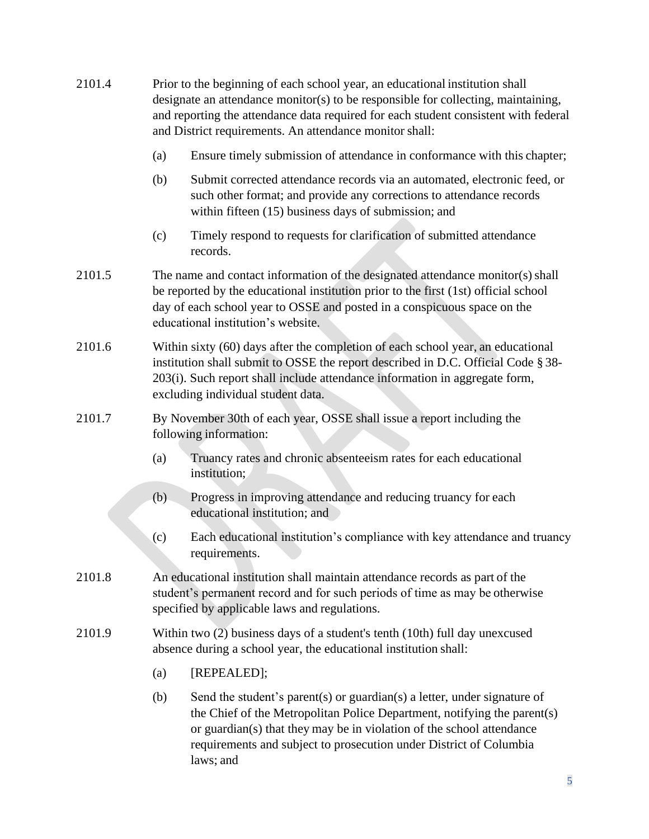| 2101.4 | Prior to the beginning of each school year, an educational institution shall<br>designate an attendance monitor(s) to be responsible for collecting, maintaining,<br>and reporting the attendance data required for each student consistent with federal<br>and District requirements. An attendance monitor shall: |                                                                                                                                                                                                                                                                                                                  |
|--------|---------------------------------------------------------------------------------------------------------------------------------------------------------------------------------------------------------------------------------------------------------------------------------------------------------------------|------------------------------------------------------------------------------------------------------------------------------------------------------------------------------------------------------------------------------------------------------------------------------------------------------------------|
|        | (a)                                                                                                                                                                                                                                                                                                                 | Ensure timely submission of attendance in conformance with this chapter;                                                                                                                                                                                                                                         |
|        | (b)                                                                                                                                                                                                                                                                                                                 | Submit corrected attendance records via an automated, electronic feed, or<br>such other format; and provide any corrections to attendance records<br>within fifteen (15) business days of submission; and                                                                                                        |
|        | (c)                                                                                                                                                                                                                                                                                                                 | Timely respond to requests for clarification of submitted attendance<br>records.                                                                                                                                                                                                                                 |
| 2101.5 | The name and contact information of the designated attendance monitor(s) shall<br>be reported by the educational institution prior to the first (1st) official school<br>day of each school year to OSSE and posted in a conspicuous space on the<br>educational institution's website.                             |                                                                                                                                                                                                                                                                                                                  |
| 2101.6 | Within sixty (60) days after the completion of each school year, an educational<br>institution shall submit to OSSE the report described in D.C. Official Code § 38-<br>203(i). Such report shall include attendance information in aggregate form,<br>excluding individual student data.                           |                                                                                                                                                                                                                                                                                                                  |
| 2101.7 | By November 30th of each year, OSSE shall issue a report including the<br>following information:                                                                                                                                                                                                                    |                                                                                                                                                                                                                                                                                                                  |
|        | (a)                                                                                                                                                                                                                                                                                                                 | Truancy rates and chronic absenteeism rates for each educational<br>institution;                                                                                                                                                                                                                                 |
|        | (b)                                                                                                                                                                                                                                                                                                                 | Progress in improving attendance and reducing truancy for each<br>educational institution; and                                                                                                                                                                                                                   |
|        | (c)                                                                                                                                                                                                                                                                                                                 | Each educational institution's compliance with key attendance and truancy<br>requirements.                                                                                                                                                                                                                       |
| 2101.8 | An educational institution shall maintain attendance records as part of the<br>student's permanent record and for such periods of time as may be otherwise<br>specified by applicable laws and regulations.                                                                                                         |                                                                                                                                                                                                                                                                                                                  |
| 2101.9 | Within two $(2)$ business days of a student's tenth $(10th)$ full day unexcused<br>absence during a school year, the educational institution shall:                                                                                                                                                                 |                                                                                                                                                                                                                                                                                                                  |
|        | (a)                                                                                                                                                                                                                                                                                                                 | [REPEALED];                                                                                                                                                                                                                                                                                                      |
|        | (b)                                                                                                                                                                                                                                                                                                                 | Send the student's parent(s) or guardian(s) a letter, under signature of<br>the Chief of the Metropolitan Police Department, notifying the parent(s)<br>or guardian(s) that they may be in violation of the school attendance<br>requirements and subject to prosecution under District of Columbia<br>laws; and |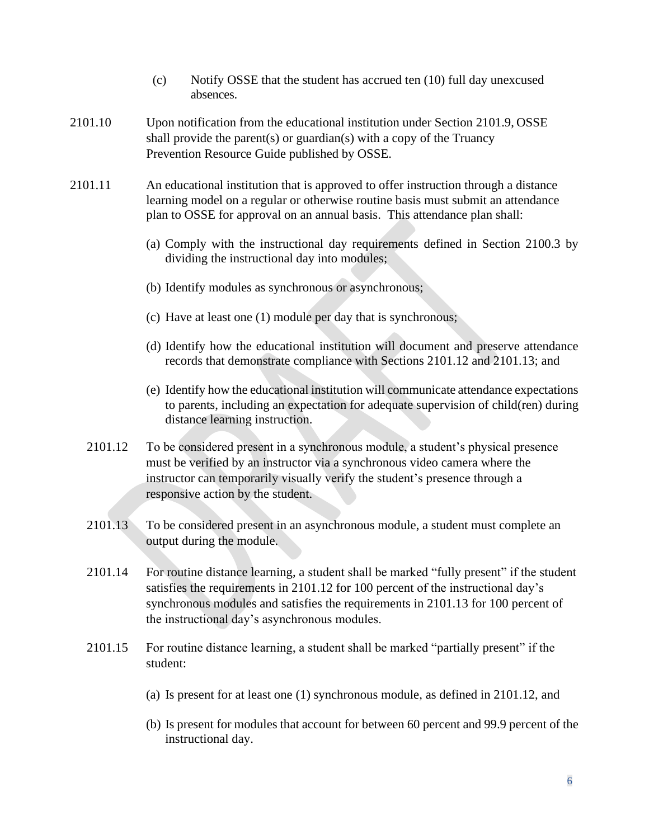- (c) Notify OSSE that the student has accrued ten (10) full day unexcused absences.
- 2101.10 Upon notification from the educational institution under Section 2101.9, OSSE shall provide the parent(s) or guardian(s) with a copy of the Truancy Prevention Resource Guide published by OSSE.
- 2101.11 An educational institution that is approved to offer instruction through a distance learning model on a regular or otherwise routine basis must submit an attendance plan to OSSE for approval on an annual basis. This attendance plan shall:
	- (a) Comply with the instructional day requirements defined in Section 2100.3 by dividing the instructional day into modules;
	- (b) Identify modules as synchronous or asynchronous;
	- (c) Have at least one (1) module per day that is synchronous;
	- (d) Identify how the educational institution will document and preserve attendance records that demonstrate compliance with Sections 2101.12 and 2101.13; and
	- (e) Identify how the educational institution will communicate attendance expectations to parents, including an expectation for adequate supervision of child(ren) during distance learning instruction.
	- 2101.12 To be considered present in a synchronous module, a student's physical presence must be verified by an instructor via a synchronous video camera where the instructor can temporarily visually verify the student's presence through a responsive action by the student.
	- 2101.13 To be considered present in an asynchronous module, a student must complete an output during the module.
	- 2101.14 For routine distance learning, a student shall be marked "fully present" if the student satisfies the requirements in 2101.12 for 100 percent of the instructional day's synchronous modules and satisfies the requirements in 2101.13 for 100 percent of the instructional day's asynchronous modules.
	- 2101.15 For routine distance learning, a student shall be marked "partially present" if the student:
		- (a) Is present for at least one (1) synchronous module, as defined in 2101.12, and
		- (b) Is present for modules that account for between 60 percent and 99.9 percent of the instructional day.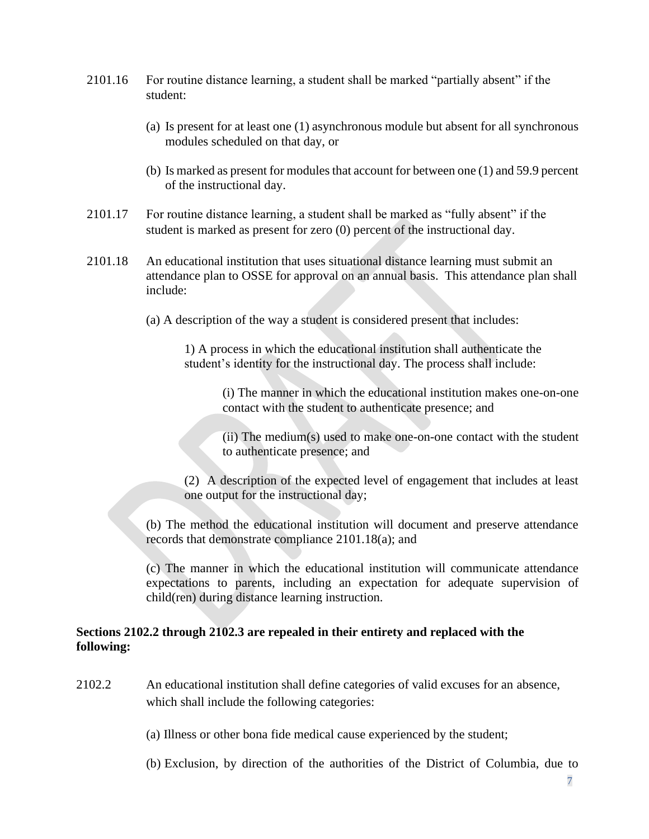- 2101.16 For routine distance learning, a student shall be marked "partially absent" if the student:
	- (a) Is present for at least one (1) asynchronous module but absent for all synchronous modules scheduled on that day, or
	- (b) Is marked as present for modules that account for between one (1) and 59.9 percent of the instructional day.
- 2101.17 For routine distance learning, a student shall be marked as "fully absent" if the student is marked as present for zero (0) percent of the instructional day.
- 2101.18 An educational institution that uses situational distance learning must submit an attendance plan to OSSE for approval on an annual basis. This attendance plan shall include:
	- (a) A description of the way a student is considered present that includes:

1) A process in which the educational institution shall authenticate the student's identity for the instructional day. The process shall include:

> (i) The manner in which the educational institution makes one-on-one contact with the student to authenticate presence; and

> (ii) The medium(s) used to make one-on-one contact with the student to authenticate presence; and

(2) A description of the expected level of engagement that includes at least one output for the instructional day;

(b) The method the educational institution will document and preserve attendance records that demonstrate compliance 2101.18(a); and

(c) The manner in which the educational institution will communicate attendance expectations to parents, including an expectation for adequate supervision of child(ren) during distance learning instruction.

#### **Sections 2102.2 through 2102.3 are repealed in their entirety and replaced with the following:**

2102.2 An educational institution shall define categories of valid excuses for an absence, which shall include the following categories:

(a) Illness or other bona fide medical cause experienced by the student;

(b) Exclusion, by direction of the authorities of the District of Columbia, due to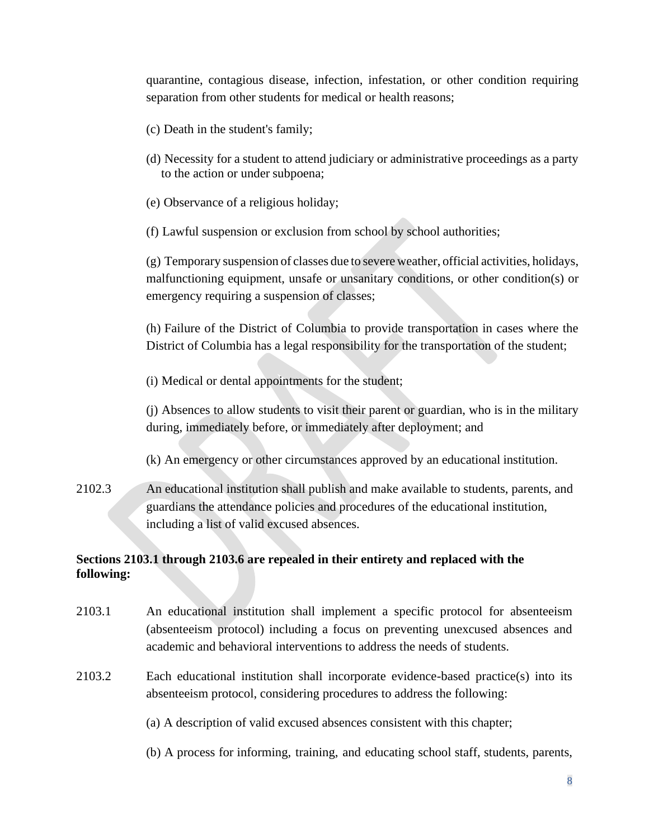quarantine, contagious disease, infection, infestation, or other condition requiring separation from other students for medical or health reasons;

- (c) Death in the student's family;
- (d) Necessity for a student to attend judiciary or administrative proceedings as a party to the action or under subpoena;
- (e) Observance of a religious holiday;
- (f) Lawful suspension or exclusion from school by school authorities;

(g) Temporary suspension of classes due to severe weather, official activities, holidays, malfunctioning equipment, unsafe or unsanitary conditions, or other condition(s) or emergency requiring a suspension of classes;

(h) Failure of the District of Columbia to provide transportation in cases where the District of Columbia has a legal responsibility for the transportation of the student;

(i) Medical or dental appointments for the student;

(j) Absences to allow students to visit their parent or guardian, who is in the military during, immediately before, or immediately after deployment; and

- (k) An emergency or other circumstances approved by an educational institution.
- 2102.3 An educational institution shall publish and make available to students, parents, and guardians the attendance policies and procedures of the educational institution, including a list of valid excused absences.

### **Sections 2103.1 through 2103.6 are repealed in their entirety and replaced with the following:**

- 2103.1 An educational institution shall implement a specific protocol for absenteeism (absenteeism protocol) including a focus on preventing unexcused absences and academic and behavioral interventions to address the needs of students.
- 2103.2 Each educational institution shall incorporate evidence-based practice(s) into its absenteeism protocol, considering procedures to address the following:

(a) A description of valid excused absences consistent with this chapter;

(b) A process for informing, training, and educating school staff, students, parents,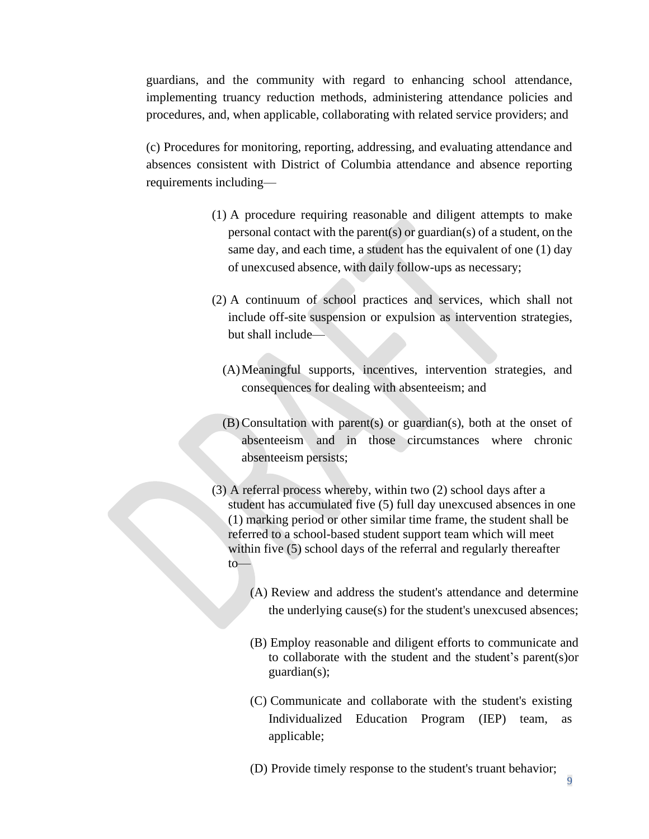guardians, and the community with regard to enhancing school attendance, implementing truancy reduction methods, administering attendance policies and procedures, and, when applicable, collaborating with related service providers; and

(c) Procedures for monitoring, reporting, addressing, and evaluating attendance and absences consistent with District of Columbia attendance and absence reporting requirements including—

- (1) A procedure requiring reasonable and diligent attempts to make personal contact with the parent(s) or guardian(s) of a student, on the same day, and each time, a student has the equivalent of one (1) day of unexcused absence, with daily follow-ups as necessary;
- (2) A continuum of school practices and services, which shall not include off-site suspension or expulsion as intervention strategies, but shall include—
	- (A)Meaningful supports, incentives, intervention strategies, and consequences for dealing with absenteeism; and
	- (B) Consultation with parent(s) or guardian(s), both at the onset of absenteeism and in those circumstances where chronic absenteeism persists;
- (3) A referral process whereby, within two (2) school days after a student has accumulated five (5) full day unexcused absences in one (1) marking period or other similar time frame, the student shall be referred to a school-based student support team which will meet within five (5) school days of the referral and regularly thereafter to—
	- (A) Review and address the student's attendance and determine the underlying cause(s) for the student's unexcused absences;
	- (B) Employ reasonable and diligent efforts to communicate and to collaborate with the student and the student's parent(s)or guardian(s);
	- (C) Communicate and collaborate with the student's existing Individualized Education Program (IEP) team, as applicable;
	- (D) Provide timely response to the student's truant behavior;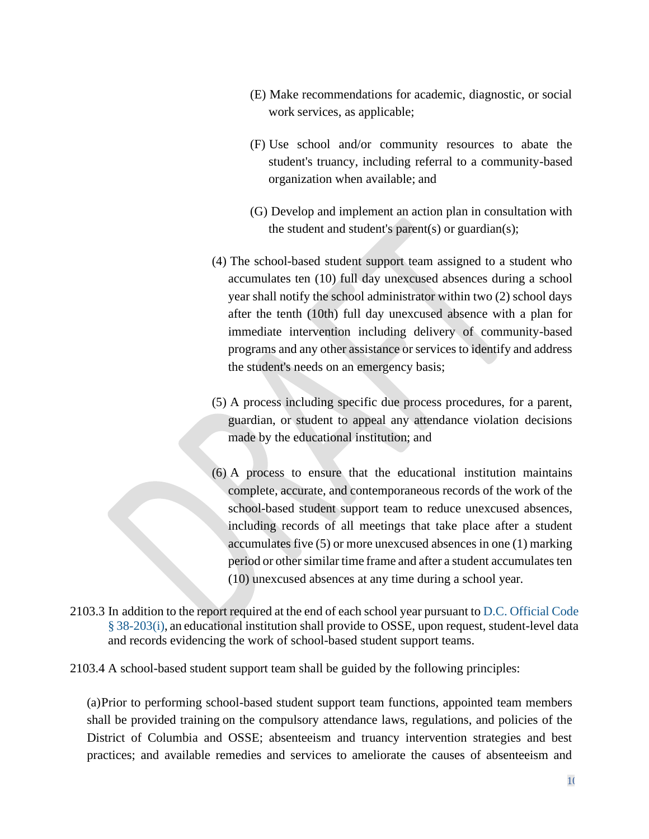- (E) Make recommendations for academic, diagnostic, or social work services, as applicable;
- (F) Use school and/or community resources to abate the student's truancy, including referral to a community-based organization when available; and
- (G) Develop and implement an action plan in consultation with the student and student's parent(s) or guardian(s);
- (4) The school-based student support team assigned to a student who accumulates ten (10) full day unexcused absences during a school year shall notify the school administrator within two (2) school days after the tenth (10th) full day unexcused absence with a plan for immediate intervention including delivery of community-based programs and any other assistance or services to identify and address the student's needs on an emergency basis;
- (5) A process including specific due process procedures, for a parent, guardian, or student to appeal any attendance violation decisions made by the educational institution; and
- (6) A process to ensure that the educational institution maintains complete, accurate, and contemporaneous records of the work of the school-based student support team to reduce unexcused absences, including records of all meetings that take place after a student accumulates five (5) or more unexcused absences in one (1) marking period or other similar time frame and after a student accumulates ten (10) unexcused absences at any time during a school year.
- 2103.3 In addition to the report required at the end of each school year pursuant to D.C. [Official](http://www.westlaw.com/Link/Document/FullText?findType=L&pubNum=1000869&cite=DCCODES38-203&originatingDoc=NDC5B9DC053B211DFB4608EAFAD2B0271&refType=SP&originationContext=document&vr=3.0&rs=cblt1.0&transitionType=DocumentItem&contextData=(sc.DocLink)&co_pp_17a3000024864) Code § [38-203\(i\),](http://www.westlaw.com/Link/Document/FullText?findType=L&pubNum=1000869&cite=DCCODES38-203&originatingDoc=NDC5B9DC053B211DFB4608EAFAD2B0271&refType=SP&originationContext=document&vr=3.0&rs=cblt1.0&transitionType=DocumentItem&contextData=(sc.DocLink)&co_pp_17a3000024864) an educational institution shall provide to OSSE, upon request, student-level data and records evidencing the work of school-based student support teams.

2103.4 A school-based student support team shall be guided by the following principles:

(a)Prior to performing school-based student support team functions, appointed team members shall be provided training on the compulsory attendance laws, regulations, and policies of the District of Columbia and OSSE; absenteeism and truancy intervention strategies and best practices; and available remedies and services to ameliorate the causes of absenteeism and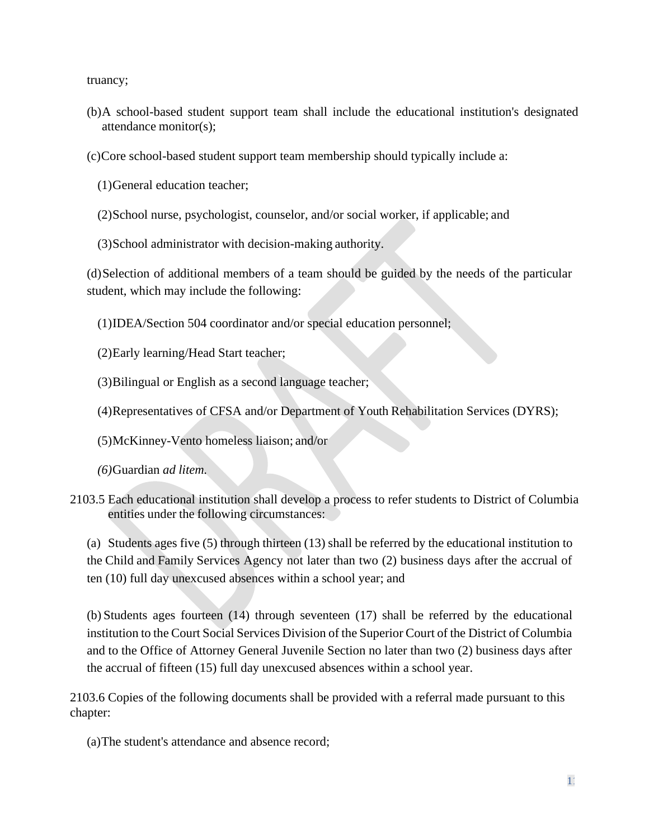truancy;

- (b)A school-based student support team shall include the educational institution's designated attendance monitor(s);
- (c)Core school-based student support team membership should typically include a:
	- (1)General education teacher;
	- (2)School nurse, psychologist, counselor, and/or social worker, if applicable; and
	- (3)School administrator with decision-making authority.

(d)Selection of additional members of a team should be guided by the needs of the particular student, which may include the following:

- (1)IDEA/Section 504 coordinator and/or special education personnel;
- (2)Early learning/Head Start teacher;
- (3)Bilingual or English as a second language teacher;
- (4)Representatives of CFSA and/or Department of Youth Rehabilitation Services (DYRS);
- (5)McKinney-Vento homeless liaison; and/or
- *(6)*Guardian *ad litem.*
- 2103.5 Each educational institution shall develop a process to refer students to District of Columbia entities under the following circumstances:

(a) Students ages five (5) through thirteen (13) shall be referred by the educational institution to the Child and Family Services Agency not later than two (2) business days after the accrual of ten (10) full day unexcused absences within a school year; and

(b) Students ages fourteen (14) through seventeen (17) shall be referred by the educational institution to the Court Social Services Division of the Superior Court of the District of Columbia and to the Office of Attorney General Juvenile Section no later than two (2) business days after the accrual of fifteen (15) full day unexcused absences within a school year.

2103.6 Copies of the following documents shall be provided with a referral made pursuant to this chapter:

(a)The student's attendance and absence record;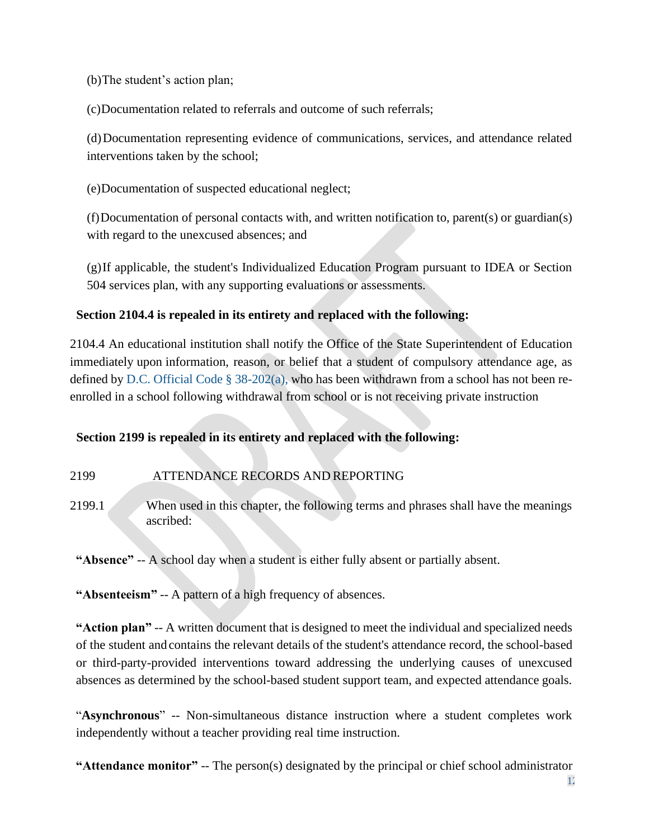(b)The student's action plan;

(c)Documentation related to referrals and outcome of such referrals;

(d)Documentation representing evidence of communications, services, and attendance related interventions taken by the school;

(e)Documentation of suspected educational neglect;

(f)Documentation of personal contacts with, and written notification to, parent(s) or guardian(s) with regard to the unexcused absences; and

(g)If applicable, the student's Individualized Education Program pursuant to IDEA or Section 504 services plan, with any supporting evaluations or assessments.

# **Section 2104.4 is repealed in its entirety and replaced with the following:**

2104.4 An educational institution shall notify the Office of the State Superintendent of Education immediately upon information, reason, or belief that a student of compulsory attendance age, as defined by [D.C. Official Code § 38-202\(a\),](http://www.westlaw.com/Link/Document/FullText?findType=L&pubNum=1000869&cite=DCCODES38-202&originatingDoc=NDEB15220623E11ECAE78A32A341D5C78&refType=SP&originationContext=document&vr=3.0&rs=cblt1.0&transitionType=DocumentItem&contextData=(sc.DocLink)&co_pp_8b3b0000958a4) who has been withdrawn from a school has not been reenrolled in a school following withdrawal from school or is not receiving private instruction

# **Section 2199 is repealed in its entirety and replaced with the following:**

### 2199 ATTENDANCE RECORDS AND REPORTING

2199.1 When used in this chapter, the following terms and phrases shall have the meanings ascribed:

**"Absence"** -- A school day when a student is either fully absent or partially absent.

**"Absenteeism"** -- A pattern of a high frequency of absences.

**"Action plan"** -- A written document that is designed to meet the individual and specialized needs of the student and contains the relevant details of the student's attendance record, the school-based or third-party-provided interventions toward addressing the underlying causes of unexcused absences as determined by the school-based student support team, and expected attendance goals.

"**Asynchronous**" -- Non-simultaneous distance instruction where a student completes work independently without a teacher providing real time instruction.

**"Attendance monitor"** -- The person(s) designated by the principal or chief school administrator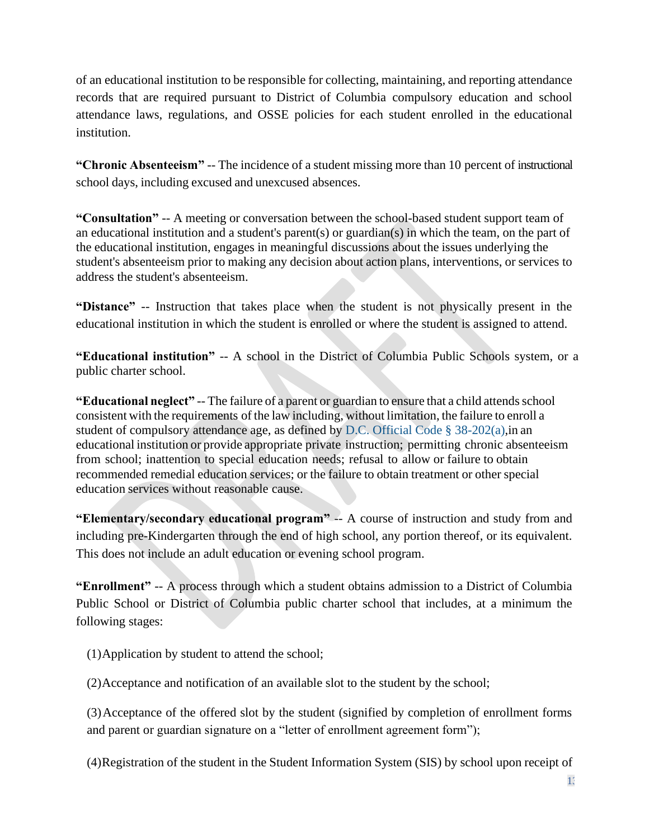of an educational institution to be responsible for collecting, maintaining, and reporting attendance records that are required pursuant to District of Columbia compulsory education and school attendance laws, regulations, and OSSE policies for each student enrolled in the educational institution.

**"Chronic Absenteeism"** -- The incidence of a student missing more than 10 percent of instructional school days, including excused and unexcused absences.

**"Consultation"** -- A meeting or conversation between the school-based student support team of an educational institution and a student's parent(s) or guardian(s) in which the team, on the part of the educational institution, engages in meaningful discussions about the issues underlying the student's absenteeism prior to making any decision about action plans, interventions, or services to address the student's absenteeism.

**"Distance"** -- Instruction that takes place when the student is not physically present in the educational institution in which the student is enrolled or where the student is assigned to attend.

**"Educational institution"** -- A school in the District of Columbia Public Schools system, or a public charter school.

**"Educational neglect"** -- The failure of a parent or guardian to ensure that a child attends school consistent with the requirements of the law including, without limitation, the failure to enroll a student of compulsory attendance age, as defined by [D.C. Official Code § 38-202\(a\),](http://www.westlaw.com/Link/Document/FullText?findType=L&pubNum=1000869&cite=DCCODES38-202&originatingDoc=NDEB15220623E11ECAE78A32A341D5C78&refType=SP&originationContext=document&vr=3.0&rs=cblt1.0&transitionType=DocumentItem&contextData=(sc.DocLink)&co_pp_8b3b0000958a4)in an educational institution or provide appropriate private instruction; permitting chronic absenteeism from school; inattention to special education needs; refusal to allow or failure to obtain recommended remedial education services; or the failure to obtain treatment or other special education services without reasonable cause.

**"Elementary/secondary educational program"** -- A course of instruction and study from and including pre-Kindergarten through the end of high school, any portion thereof, or its equivalent. This does not include an adult education or evening school program.

**"Enrollment"** -- A process through which a student obtains admission to a District of Columbia Public School or District of Columbia public charter school that includes, at a minimum the following stages:

(1)Application by student to attend the school;

(2)Acceptance and notification of an available slot to the student by the school;

(3)Acceptance of the offered slot by the student (signified by completion of enrollment forms and parent or guardian signature on a "letter of enrollment agreement form");

(4)Registration of the student in the Student Information System (SIS) by school upon receipt of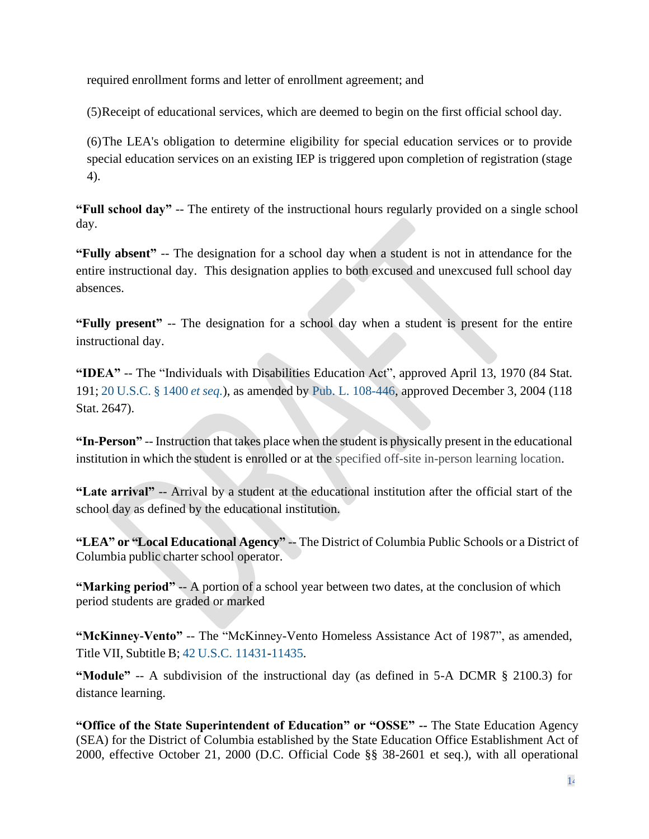required enrollment forms and letter of enrollment agreement; and

(5)Receipt of educational services, which are deemed to begin on the first official school day.

(6)The LEA's obligation to determine eligibility for special education services or to provide special education services on an existing IEP is triggered upon completion of registration (stage 4).

**"Full school day"** -- The entirety of the instructional hours regularly provided on a single school day.

**"Fully absent"** -- The designation for a school day when a student is not in attendance for the entire instructional day. This designation applies to both excused and unexcused full school day absences.

**"Fully present"** -- The designation for a school day when a student is present for the entire instructional day.

**"IDEA"** -- The "Individuals with Disabilities Education Act", approved April 13, 1970 (84 Stat. 191; 20 [U.S.C.](http://www.westlaw.com/Link/Document/FullText?findType=L&pubNum=1000546&cite=20USCAS1400&originatingDoc=NDEB15220623E11ECAE78A32A341D5C78&refType=LQ&originationContext=document&vr=3.0&rs=cblt1.0&transitionType=DocumentItem&contextData=(sc.DocLink)) § 1400 *et seq.*), as amended by [Pub. L. 108-446,](http://www.westlaw.com/Link/Document/FullText?findType=l&pubNum=1077005&cite=UUID(IFD34E6D049-D311D99A02E-E6B583008FF)&originatingDoc=NDEB15220623E11ECAE78A32A341D5C78&refType=SL&originationContext=document&vr=3.0&rs=cblt1.0&transitionType=DocumentItem&contextData=(sc.DocLink)) approved December 3, 2004 (118 Stat. 2647).

**"In-Person"** -- Instruction that takes place when the student is physically present in the educational institution in which the student is enrolled or at the specified off-site in-person learning location.

**"Late arrival"** -- Arrival by a student at the educational institution after the official start of the school day as defined by the educational institution.

**"LEA" or "Local Educational Agency"** -- The District of Columbia Public Schools or a District of Columbia public charter school operator.

**"Marking period"** -- A portion of a school year between two dates, at the conclusion of which period students are graded or marked

**"McKinney-Vento"** -- The "McKinney-Vento Homeless Assistance Act of 1987", as amended, Title VII, Subtitle B; 42 [U.S.C.](http://www.westlaw.com/Link/Document/FullText?findType=L&pubNum=1000546&cite=42USCAS11431&originatingDoc=NDEB15220623E11ECAE78A32A341D5C78&refType=LQ&originationContext=document&vr=3.0&rs=cblt1.0&transitionType=DocumentItem&contextData=(sc.DocLink)) [11431](http://www.westlaw.com/Link/Document/FullText?findType=L&pubNum=1000546&cite=42USCAS11431&originatingDoc=NDEB15220623E11ECAE78A32A341D5C78&refType=LQ&originationContext=document&vr=3.0&rs=cblt1.0&transitionType=DocumentItem&contextData=(sc.DocLink))[-11435.](http://www.westlaw.com/Link/Document/FullText?findType=L&pubNum=1000546&cite=42USCAS11435&originatingDoc=NDEB15220623E11ECAE78A32A341D5C78&refType=LQ&originationContext=document&vr=3.0&rs=cblt1.0&transitionType=DocumentItem&contextData=(sc.DocLink))

**"Module"** -- A subdivision of the instructional day (as defined in 5-A DCMR § 2100.3) for distance learning.

**"Office of the State Superintendent of Education" or "OSSE" --** The State Education Agency (SEA) for the District of Columbia established by the State Education Office Establishment Act of 2000, effective October 21, 2000 (D.C. Official Code §§ 38-2601 et seq.), with all operational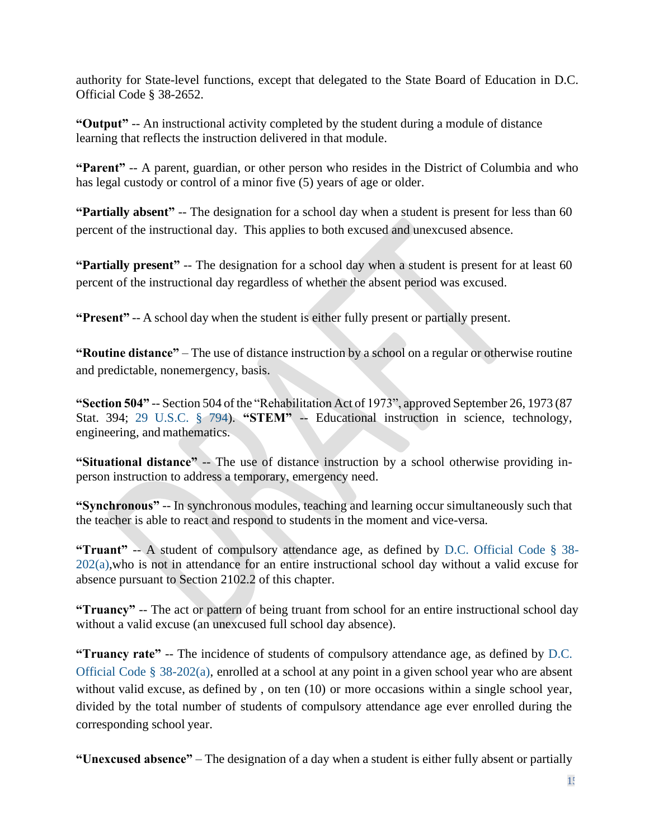authority for State-level functions, except that delegated to the State Board of Education in D.C. Official Code § 38-2652.

**"Output"** -- An instructional activity completed by the student during a module of distance learning that reflects the instruction delivered in that module.

**"Parent"** -- A parent, guardian, or other person who resides in the District of Columbia and who has legal custody or control of a minor five (5) years of age or older.

**"Partially absent"** -- The designation for a school day when a student is present for less than 60 percent of the instructional day. This applies to both excused and unexcused absence.

**"Partially present"** -- The designation for a school day when a student is present for at least 60 percent of the instructional day regardless of whether the absent period was excused.

**"Present"** -- A school day when the student is either fully present or partially present.

**"Routine distance"** – The use of distance instruction by a school on a regular or otherwise routine and predictable, nonemergency, basis.

**"Section 504"** -- Section 504 of the "Rehabilitation Act of 1973", approved September 26, 1973 (87 Stat. 394; 29 [U.S.C.](http://www.westlaw.com/Link/Document/FullText?findType=L&pubNum=1000546&cite=29USCAS794&originatingDoc=NDEB15220623E11ECAE78A32A341D5C78&refType=LQ&originationContext=document&vr=3.0&rs=cblt1.0&transitionType=DocumentItem&contextData=(sc.DocLink)) § 794). "STEM" -- Educational instruction in science, technology, engineering, and mathematics.

**"Situational distance"** -- The use of distance instruction by a school otherwise providing inperson instruction to address a temporary, emergency need.

**"Synchronous"** -- In synchronous modules, teaching and learning occur simultaneously such that the teacher is able to react and respond to students in the moment and vice-versa.

**"Truant"** -- A student of compulsory attendance age, as defined by [D.C. Official Code § 38-](http://www.westlaw.com/Link/Document/FullText?findType=L&pubNum=1000869&cite=DCCODES38-202&originatingDoc=NDEB15220623E11ECAE78A32A341D5C78&refType=SP&originationContext=document&vr=3.0&rs=cblt1.0&transitionType=DocumentItem&contextData=(sc.DocLink)&co_pp_8b3b0000958a4) [202\(a\),](http://www.westlaw.com/Link/Document/FullText?findType=L&pubNum=1000869&cite=DCCODES38-202&originatingDoc=NDEB15220623E11ECAE78A32A341D5C78&refType=SP&originationContext=document&vr=3.0&rs=cblt1.0&transitionType=DocumentItem&contextData=(sc.DocLink)&co_pp_8b3b0000958a4)who is not in attendance for an entire instructional school day without a valid excuse for absence pursuant to Section 2102.2 of this chapter.

**"Truancy"** -- The act or pattern of being truant from school for an entire instructional school day without a valid excuse (an unexcused full school day absence).

**"Truancy rate"** -- The incidence of students of compulsory attendance age, as defined by [D.C.](http://www.westlaw.com/Link/Document/FullText?findType=L&pubNum=1000869&cite=DCCODES38-202&originatingDoc=NDEB15220623E11ECAE78A32A341D5C78&refType=SP&originationContext=document&vr=3.0&rs=cblt1.0&transitionType=DocumentItem&contextData=(sc.DocLink)&co_pp_8b3b0000958a4)  [Official Code § 38-202\(a\),](http://www.westlaw.com/Link/Document/FullText?findType=L&pubNum=1000869&cite=DCCODES38-202&originatingDoc=NDEB15220623E11ECAE78A32A341D5C78&refType=SP&originationContext=document&vr=3.0&rs=cblt1.0&transitionType=DocumentItem&contextData=(sc.DocLink)&co_pp_8b3b0000958a4) enrolled at a school at any point in a given school year who are absent without valid excuse, as defined by , on ten (10) or more occasions within a single school year, divided by the total number of students of compulsory attendance age ever enrolled during the corresponding school year.

**"Unexcused absence"** – The designation of a day when a student is either fully absent or partially